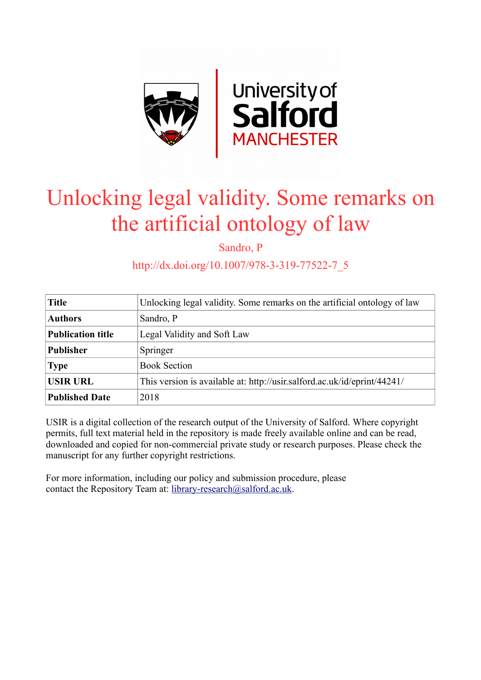

# Unlocking legal validity. Some remarks on the artificial ontology of law

Sandro, P

http://dx.doi.org/10.1007/978-3-319-77522-7\_5

| <b>Title</b>             | Unlocking legal validity. Some remarks on the artificial ontology of law |  |
|--------------------------|--------------------------------------------------------------------------|--|
| <b>Authors</b>           | Sandro, P                                                                |  |
| <b>Publication title</b> | Legal Validity and Soft Law                                              |  |
| <b>Publisher</b>         | Springer                                                                 |  |
| <b>Type</b>              | <b>Book Section</b>                                                      |  |
| <b>USIR URL</b>          | This version is available at: http://usir.salford.ac.uk/id/eprint/44241/ |  |
| <b>Published Date</b>    | 2018                                                                     |  |

USIR is a digital collection of the research output of the University of Salford. Where copyright permits, full text material held in the repository is made freely available online and can be read, downloaded and copied for non-commercial private study or research purposes. Please check the manuscript for any further copyright restrictions.

For more information, including our policy and submission procedure, please contact the Repository Team at: [library-research@salford.ac.uk.](mailto:library-research@salford.ac.uk)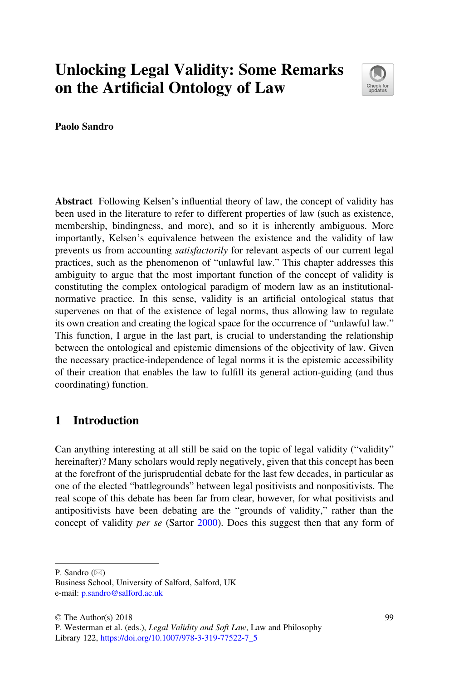# Unlocking Legal Validity: Some Remarks on the Artificial Ontology of Law



Paolo Sandro

Abstract Following Kelsen's influential theory of law, the concept of validity has been used in the literature to refer to different properties of law (such as existence, membership, bindingness, and more), and so it is inherently ambiguous. More importantly, Kelsen's equivalence between the existence and the validity of law prevents us from accounting satisfactorily for relevant aspects of our current legal practices, such as the phenomenon of "unlawful law." This chapter addresses this ambiguity to argue that the most important function of the concept of validity is constituting the complex ontological paradigm of modern law as an institutionalnormative practice. In this sense, validity is an artificial ontological status that supervenes on that of the existence of legal norms, thus allowing law to regulate its own creation and creating the logical space for the occurrence of "unlawful law." This function, I argue in the last part, is crucial to understanding the relationship between the ontological and epistemic dimensions of the objectivity of law. Given the necessary practice-independence of legal norms it is the epistemic accessibility of their creation that enables the law to fulfill its general action-guiding (and thus coordinating) function.

#### 1 Introduction

Can anything interesting at all still be said on the topic of legal validity ("validity" hereinafter)? Many scholars would reply negatively, given that this concept has been at the forefront of the jurisprudential debate for the last few decades, in particular as one of the elected "battlegrounds" between legal positivists and nonpositivists. The real scope of this debate has been far from clear, however, for what positivists and antipositivists have been debating are the "grounds of validity," rather than the concept of validity per se (Sartor [2000](#page-25-0)). Does this suggest then that any form of

© The Author(s) 2018

P. Sandro  $(\boxtimes)$ 

Business School, University of Salford, Salford, UK e-mail: [p.sandro@salford.ac.uk](mailto:p.sandro@salford.ac.uk)

P. Westerman et al. (eds.), Legal Validity and Soft Law, Law and Philosophy Library 122, [https://doi.org/10.1007/978-3-319-77522-7\\_5](https://doi.org/10.1007/978-3-319-77522-7_5)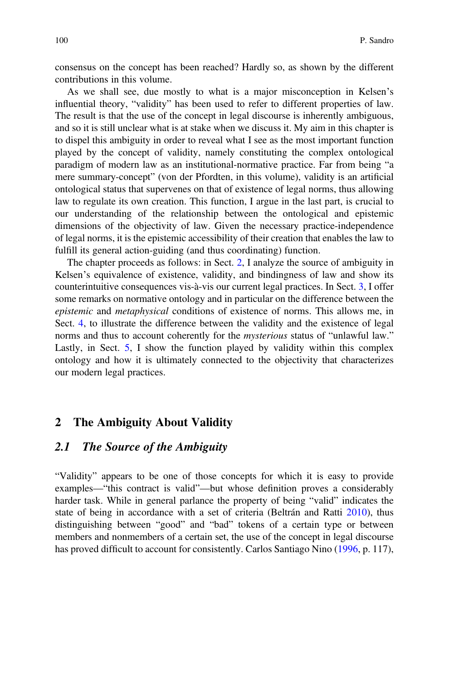consensus on the concept has been reached? Hardly so, as shown by the different contributions in this volume.

As we shall see, due mostly to what is a major misconception in Kelsen's influential theory, "validity" has been used to refer to different properties of law. The result is that the use of the concept in legal discourse is inherently ambiguous, and so it is still unclear what is at stake when we discuss it. My aim in this chapter is to dispel this ambiguity in order to reveal what I see as the most important function played by the concept of validity, namely constituting the complex ontological paradigm of modern law as an institutional-normative practice. Far from being "a mere summary-concept" (von der Pfordten, in this volume), validity is an artificial ontological status that supervenes on that of existence of legal norms, thus allowing law to regulate its own creation. This function, I argue in the last part, is crucial to our understanding of the relationship between the ontological and epistemic dimensions of the objectivity of law. Given the necessary practice-independence of legal norms, it is the epistemic accessibility of their creation that enables the law to fulfill its general action-guiding (and thus coordinating) function.

The chapter proceeds as follows: in Sect. [2,](#page-2-0) I analyze the source of ambiguity in Kelsen's equivalence of existence, validity, and bindingness of law and show its counterintuitive consequences vis-à-vis our current legal practices. In Sect. [3](#page-2-1), I offer some remarks on normative ontology and in particular on the difference between the epistemic and metaphysical conditions of existence of norms. This allows me, in Sect. [4,](#page-11-0) to illustrate the difference between the validity and the existence of legal norms and thus to account coherently for the mysterious status of "unlawful law." Lastly, in Sect. [5](#page-12-0), I show the function played by validity within this complex ontology and how it is ultimately connected to the objectivity that characterizes our modern legal practices.

#### <span id="page-2-0"></span>2 The Ambiguity About Validity

#### <span id="page-2-1"></span>2.1 The Source of the Ambiguity

"Validity" appears to be one of those concepts for which it is easy to provide examples—"this contract is valid"—but whose definition proves a considerably harder task. While in general parlance the property of being "valid" indicates the state of being in accordance with a set of criteria (Beltrán and Ratti [2010](#page-24-0)), thus distinguishing between "good" and "bad" tokens of a certain type or between members and nonmembers of a certain set, the use of the concept in legal discourse has proved difficult to account for consistently. Carlos Santiago Nino ([1996,](#page-25-1) p. 117),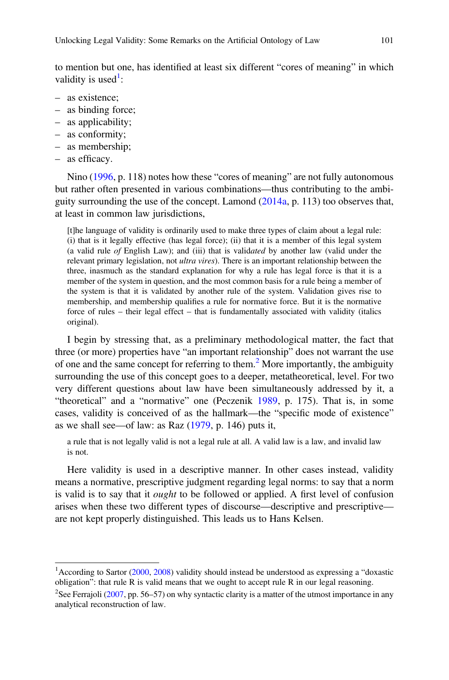to mention but one, has identified at least six different "cores of meaning" in which validity is used<sup>[1](#page-3-0)</sup>:

- as existence;
- as binding force;
- as applicability;
- as conformity;
- as membership;
- as efficacy.

Nino ([1996,](#page-25-1) p. 118) notes how these "cores of meaning" are not fully autonomous but rather often presented in various combinations—thus contributing to the ambiguity surrounding the use of the concept. Lamond  $(2014a, p. 113)$  $(2014a, p. 113)$  too observes that, at least in common law jurisdictions,

[t]he language of validity is ordinarily used to make three types of claim about a legal rule: (i) that is it legally effective (has legal force); (ii) that it is a member of this legal system (a valid rule of English Law); and (iii) that is validated by another law (valid under the relevant primary legislation, not *ultra vires*). There is an important relationship between the three, inasmuch as the standard explanation for why a rule has legal force is that it is a member of the system in question, and the most common basis for a rule being a member of the system is that it is validated by another rule of the system. Validation gives rise to membership, and membership qualifies a rule for normative force. But it is the normative force of rules – their legal effect – that is fundamentally associated with validity (italics original).

I begin by stressing that, as a preliminary methodological matter, the fact that three (or more) properties have "an important relationship" does not warrant the use of one and the same concept for referring to them.<sup>[2](#page-3-1)</sup> More importantly, the ambiguity surrounding the use of this concept goes to a deeper, metatheoretical, level. For two very different questions about law have been simultaneously addressed by it, a "theoretical" and a "normative" one (Peczenik [1989,](#page-25-2) p. 175). That is, in some cases, validity is conceived of as the hallmark—the "specific mode of existence" as we shall see—of law: as Raz  $(1979, p. 146)$  $(1979, p. 146)$  puts it,

a rule that is not legally valid is not a legal rule at all. A valid law is a law, and invalid law is not.

Here validity is used in a descriptive manner. In other cases instead, validity means a normative, prescriptive judgment regarding legal norms: to say that a norm is valid is to say that it *ought* to be followed or applied. A first level of confusion arises when these two different types of discourse—descriptive and prescriptive are not kept properly distinguished. This leads us to Hans Kelsen.

<span id="page-3-0"></span><sup>&</sup>lt;sup>1</sup> According to Sartor [\(2000](#page-25-0), [2008](#page-25-4)) validity should instead be understood as expressing a "doxastic obligation": that rule R is valid means that we ought to accept rule R in our legal reasoning.

<span id="page-3-1"></span><sup>&</sup>lt;sup>2</sup>See Ferrajoli [\(2007](#page-24-2), pp. 56–57) on why syntactic clarity is a matter of the utmost importance in any analytical reconstruction of law.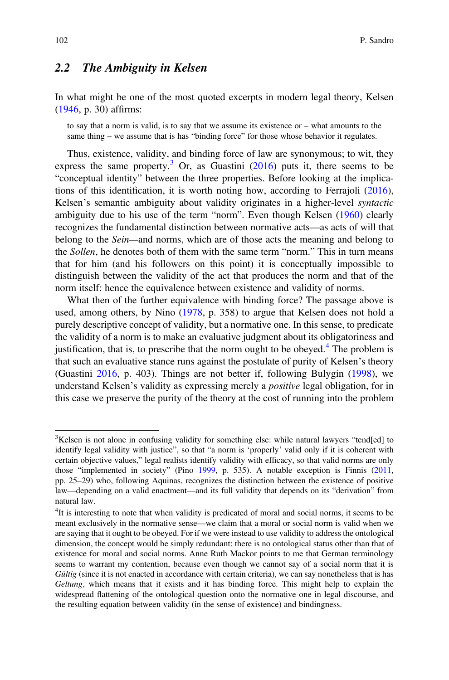## 2.2 The Ambiguity in Kelsen

In what might be one of the most quoted excerpts in modern legal theory, Kelsen [\(1946](#page-24-3), p. 30) affirms:

to say that a norm is valid, is to say that we assume its existence or – what amounts to the same thing – we assume that is has "binding force" for those whose behavior it regulates.

Thus, existence, validity, and binding force of law are synonymous; to wit, they express the same property.<sup>[3](#page-4-0)</sup> Or, as Guastini  $(2016)$  $(2016)$  puts it, there seems to be "conceptual identity" between the three properties. Before looking at the implications of this identification, it is worth noting how, according to Ferrajoli ([2016\)](#page-24-5), Kelsen's semantic ambiguity about validity originates in a higher-level *syntactic* ambiguity due to his use of the term "norm". Even though Kelsen [\(1960](#page-24-6)) clearly recognizes the fundamental distinction between normative acts—as acts of will that belong to the *Sein*—and norms, which are of those acts the meaning and belong to the *Sollen*, he denotes both of them with the same term "norm." This in turn means that for him (and his followers on this point) it is conceptually impossible to distinguish between the validity of the act that produces the norm and that of the norm itself: hence the equivalence between existence and validity of norms.

What then of the further equivalence with binding force? The passage above is used, among others, by Nino [\(1978](#page-25-5), p. 358) to argue that Kelsen does not hold a purely descriptive concept of validity, but a normative one. In this sense, to predicate the validity of a norm is to make an evaluative judgment about its obligatoriness and justification, that is, to prescribe that the norm ought to be obeyed. $4$  The problem is that such an evaluative stance runs against the postulate of purity of Kelsen's theory (Guastini [2016,](#page-24-4) p. 403). Things are not better if, following Bulygin [\(1998](#page-24-7)), we understand Kelsen's validity as expressing merely a positive legal obligation, for in this case we preserve the purity of the theory at the cost of running into the problem

<span id="page-4-0"></span><sup>&</sup>lt;sup>3</sup>Kelsen is not alone in confusing validity for something else: while natural lawyers "tend[ed] to identify legal validity with justice", so that "a norm is 'properly' valid only if it is coherent with certain objective values," legal realists identify validity with efficacy, so that valid norms are only those "implemented in society" (Pino [1999](#page-25-6), p. 535). A notable exception is Finnis [\(2011](#page-24-8), pp. 25–29) who, following Aquinas, recognizes the distinction between the existence of positive law—depending on a valid enactment—and its full validity that depends on its "derivation" from natural law.

<span id="page-4-1"></span><sup>&</sup>lt;sup>4</sup>It is interesting to note that when validity is predicated of moral and social norms, it seems to be meant exclusively in the normative sense—we claim that a moral or social norm is valid when we are saying that it ought to be obeyed. For if we were instead to use validity to address the ontological dimension, the concept would be simply redundant: there is no ontological status other than that of existence for moral and social norms. Anne Ruth Mackor points to me that German terminology seems to warrant my contention, because even though we cannot say of a social norm that it is Gültig (since it is not enacted in accordance with certain criteria), we can say nonetheless that is has Geltung, which means that it exists and it has binding force. This might help to explain the widespread flattening of the ontological question onto the normative one in legal discourse, and the resulting equation between validity (in the sense of existence) and bindingness.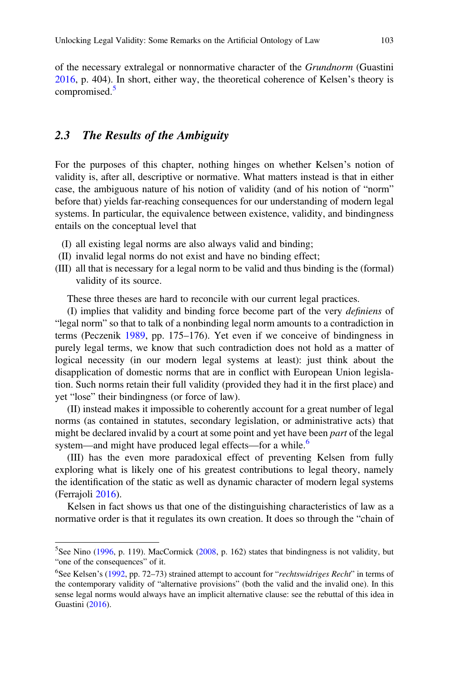of the necessary extralegal or nonnormative character of the Grundnorm (Guastini [2016,](#page-24-4) p. 404). In short, either way, the theoretical coherence of Kelsen's theory is compromised.<sup>[5](#page-5-0)</sup>

#### 2.3 The Results of the Ambiguity

For the purposes of this chapter, nothing hinges on whether Kelsen's notion of validity is, after all, descriptive or normative. What matters instead is that in either case, the ambiguous nature of his notion of validity (and of his notion of "norm" before that) yields far-reaching consequences for our understanding of modern legal systems. In particular, the equivalence between existence, validity, and bindingness entails on the conceptual level that

- (I) all existing legal norms are also always valid and binding;
- (II) invalid legal norms do not exist and have no binding effect;
- (III) all that is necessary for a legal norm to be valid and thus binding is the (formal) validity of its source.

These three theses are hard to reconcile with our current legal practices.

(I) implies that validity and binding force become part of the very definiens of "legal norm" so that to talk of a nonbinding legal norm amounts to a contradiction in terms (Peczenik [1989](#page-25-2), pp. 175–176). Yet even if we conceive of bindingness in purely legal terms, we know that such contradiction does not hold as a matter of logical necessity (in our modern legal systems at least): just think about the disapplication of domestic norms that are in conflict with European Union legislation. Such norms retain their full validity (provided they had it in the first place) and yet "lose" their bindingness (or force of law).

(II) instead makes it impossible to coherently account for a great number of legal norms (as contained in statutes, secondary legislation, or administrative acts) that might be declared invalid by a court at some point and yet have been *part* of the legal system—and might have produced legal effects—for a while.<sup>[6](#page-5-1)</sup>

(III) has the even more paradoxical effect of preventing Kelsen from fully exploring what is likely one of his greatest contributions to legal theory, namely the identification of the static as well as dynamic character of modern legal systems (Ferrajoli [2016\)](#page-24-5).

Kelsen in fact shows us that one of the distinguishing characteristics of law as a normative order is that it regulates its own creation. It does so through the "chain of

<span id="page-5-0"></span><sup>&</sup>lt;sup>5</sup>See Nino [\(1996](#page-25-1), p. 119). MacCormick ([2008,](#page-24-9) p. 162) states that bindingness is not validity, but "one of the consequences" of it.

<span id="page-5-1"></span><sup>&</sup>lt;sup>6</sup>See Kelsen's ([1992](#page-24-10), pp. 72–73) strained attempt to account for "rechtswidriges Recht" in terms of the contemporary validity of "alternative provisions" (both the valid and the invalid one). In this sense legal norms would always have an implicit alternative clause: see the rebuttal of this idea in Guastini [\(2016](#page-24-4)).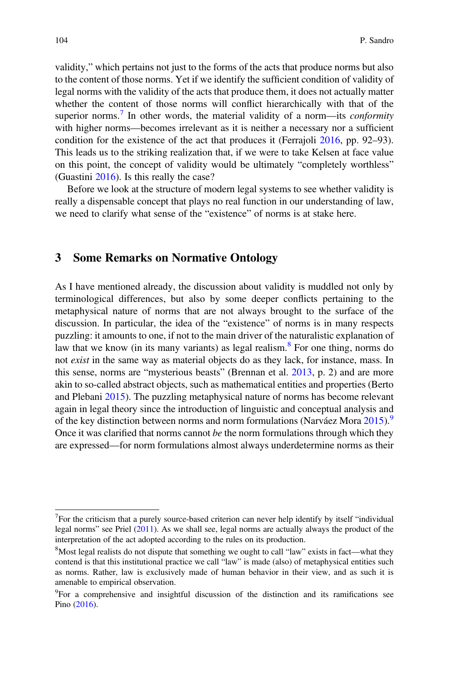validity," which pertains not just to the forms of the acts that produce norms but also to the content of those norms. Yet if we identify the sufficient condition of validity of legal norms with the validity of the acts that produce them, it does not actually matter whether the content of those norms will conflict hierarchically with that of the superior norms.<sup>[7](#page-6-0)</sup> In other words, the material validity of a norm—its *conformity* with higher norms—becomes irrelevant as it is neither a necessary nor a sufficient condition for the existence of the act that produces it (Ferrajoli [2016](#page-24-5), pp. 92–93). This leads us to the striking realization that, if we were to take Kelsen at face value on this point, the concept of validity would be ultimately "completely worthless" (Guastini [2016](#page-24-4)). Is this really the case?

Before we look at the structure of modern legal systems to see whether validity is really a dispensable concept that plays no real function in our understanding of law, we need to clarify what sense of the "existence" of norms is at stake here.

#### 3 Some Remarks on Normative Ontology

As I have mentioned already, the discussion about validity is muddled not only by terminological differences, but also by some deeper conflicts pertaining to the metaphysical nature of norms that are not always brought to the surface of the discussion. In particular, the idea of the "existence" of norms is in many respects puzzling: it amounts to one, if not to the main driver of the naturalistic explanation of law that we know (in its many variants) as legal realism. $8$  For one thing, norms do not exist in the same way as material objects do as they lack, for instance, mass. In this sense, norms are "mysterious beasts" (Brennan et al. [2013,](#page-24-11) p. 2) and are more akin to so-called abstract objects, such as mathematical entities and properties (Berto and Plebani [2015\)](#page-24-12). The puzzling metaphysical nature of norms has become relevant again in legal theory since the introduction of linguistic and conceptual analysis and of the key distinction between norms and norm formulations (Narváez Mora  $2015$ ).<sup>[9](#page-6-2)</sup> Once it was clarified that norms cannot be the norm formulations through which they are expressed—for norm formulations almost always underdetermine norms as their

<span id="page-6-0"></span> $7$  For the criticism that a purely source-based criterion can never help identify by itself "individual" legal norms" see Priel ([2011\)](#page-25-8). As we shall see, legal norms are actually always the product of the interpretation of the act adopted according to the rules on its production.

<span id="page-6-1"></span><sup>&</sup>lt;sup>8</sup>Most legal realists do not dispute that something we ought to call "law" exists in fact—what they contend is that this institutional practice we call "law" is made (also) of metaphysical entities such as norms. Rather, law is exclusively made of human behavior in their view, and as such it is amenable to empirical observation.

<span id="page-6-2"></span><sup>&</sup>lt;sup>9</sup>For a comprehensive and insightful discussion of the distinction and its ramifications see Pino [\(2016](#page-25-9)).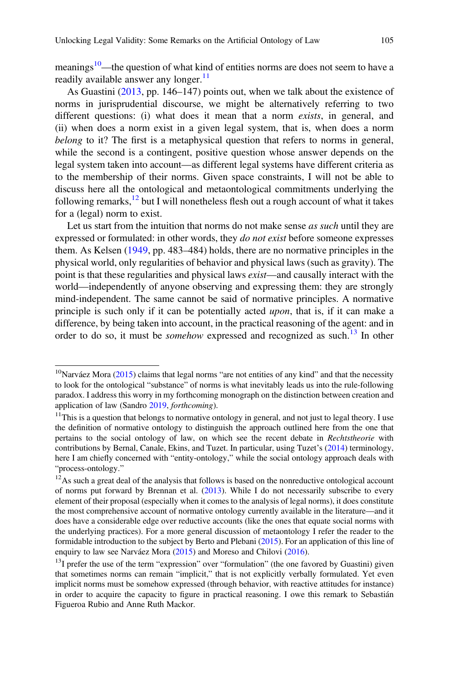meanings<sup>[10](#page-7-0)</sup>—the question of what kind of entities norms are does not seem to have a readily available answer any longer. $\frac{11}{11}$  $\frac{11}{11}$  $\frac{11}{11}$ 

As Guastini ([2013,](#page-24-13) pp. 146–147) points out, when we talk about the existence of norms in jurisprudential discourse, we might be alternatively referring to two different questions: (i) what does it mean that a norm *exists*, in general, and (ii) when does a norm exist in a given legal system, that is, when does a norm belong to it? The first is a metaphysical question that refers to norms in general, while the second is a contingent, positive question whose answer depends on the legal system taken into account—as different legal systems have different criteria as to the membership of their norms. Given space constraints, I will not be able to discuss here all the ontological and metaontological commitments underlying the following remarks,  $^{12}$  $^{12}$  $^{12}$  but I will nonetheless flesh out a rough account of what it takes for a (legal) norm to exist.

Let us start from the intuition that norms do not make sense *as such* until they are expressed or formulated: in other words, they do not exist before someone expresses them. As Kelsen ([1949,](#page-24-14) pp. 483–484) holds, there are no normative principles in the physical world, only regularities of behavior and physical laws (such as gravity). The point is that these regularities and physical laws exist—and causally interact with the world—independently of anyone observing and expressing them: they are strongly mind-independent. The same cannot be said of normative principles. A normative principle is such only if it can be potentially acted upon, that is, if it can make a difference, by being taken into account, in the practical reasoning of the agent: and in order to do so, it must be *somehow* expressed and recognized as such.<sup>[13](#page-7-3)</sup> In other

<span id="page-7-0"></span><sup>&</sup>lt;sup>10</sup>Narváez Mora [\(2015](#page-25-7)) claims that legal norms "are not entities of any kind" and that the necessity to look for the ontological "substance" of norms is what inevitably leads us into the rule-following paradox. I address this worry in my forthcoming monograph on the distinction between creation and application of law (Sandro [2019](#page-25-10), forthcoming).

<span id="page-7-1"></span><sup>&</sup>lt;sup>11</sup>This is a question that belongs to normative ontology in general, and not just to legal theory. I use the definition of normative ontology to distinguish the approach outlined here from the one that pertains to the social ontology of law, on which see the recent debate in Rechtstheorie with contributions by Bernal, Canale, Ekins, and Tuzet. In particular, using Tuzet's ([2014\)](#page-25-11) terminology, here I am chiefly concerned with "entity-ontology," while the social ontology approach deals with "process-ontology."

<span id="page-7-2"></span> $12$ As such a great deal of the analysis that follows is based on the nonreductive ontological account of norms put forward by Brennan et al.  $(2013)$  $(2013)$ . While I do not necessarily subscribe to every element of their proposal (especially when it comes to the analysis of legal norms), it does constitute the most comprehensive account of normative ontology currently available in the literature—and it does have a considerable edge over reductive accounts (like the ones that equate social norms with the underlying practices). For a more general discussion of metaontology I refer the reader to the formidable introduction to the subject by Berto and Plebani ([2015\)](#page-24-12). For an application of this line of enquiry to law see Narváez Mora ([2015\)](#page-25-7) and Moreso and Chilovi [\(2016](#page-24-15)).

<span id="page-7-3"></span> $<sup>13</sup>$ I prefer the use of the term "expression" over "formulation" (the one favored by Guastini) given</sup> that sometimes norms can remain "implicit," that is not explicitly verbally formulated. Yet even implicit norms must be somehow expressed (through behavior, with reactive attitudes for instance) in order to acquire the capacity to figure in practical reasoning. I owe this remark to Sebastián Figueroa Rubio and Anne Ruth Mackor.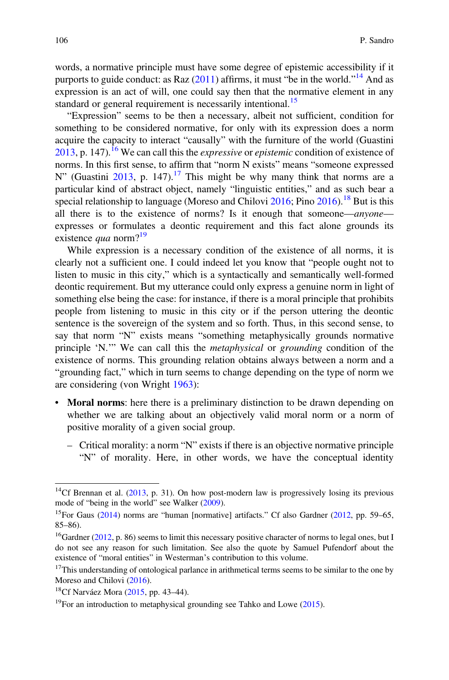words, a normative principle must have some degree of epistemic accessibility if it purports to guide conduct: as Raz  $(2011)$  $(2011)$  affirms, it must "be in the world."<sup>[14](#page-8-0)</sup> And as expression is an act of will, one could say then that the normative element in any standard or general requirement is necessarily intentional.<sup>[15](#page-8-1)</sup>

"Expression" seems to be then a necessary, albeit not sufficient, condition for something to be considered normative, for only with its expression does a norm acquire the capacity to interact "causally" with the furniture of the world (Guastini [2013,](#page-24-13) p. 147).<sup>[16](#page-8-2)</sup> We can call this the *expressive* or *epistemic* condition of existence of norms. In this first sense, to affirm that "norm N exists" means "someone expressed N" (Guastini [2013,](#page-24-13) p. 147).<sup>[17](#page-8-3)</sup> This might be why many think that norms are a particular kind of abstract object, namely "linguistic entities," and as such bear a special relationship to language (Moreso and Chilovi  $2016$ ; Pino  $2016$ ).<sup>[18](#page-8-4)</sup> But is this all there is to the existence of norms? Is it enough that someone—anyone expresses or formulates a deontic requirement and this fact alone grounds its existence qua norm? $19$ 

While expression is a necessary condition of the existence of all norms, it is clearly not a sufficient one. I could indeed let you know that "people ought not to listen to music in this city," which is a syntactically and semantically well-formed deontic requirement. But my utterance could only express a genuine norm in light of something else being the case: for instance, if there is a moral principle that prohibits people from listening to music in this city or if the person uttering the deontic sentence is the sovereign of the system and so forth. Thus, in this second sense, to say that norm "N" exists means "something metaphysically grounds normative principle 'N.'" We can call this the *metaphysical* or *grounding* condition of the existence of norms. This grounding relation obtains always between a norm and a "grounding fact," which in turn seems to change depending on the type of norm we are considering (von Wright [1963](#page-25-13)):

- **Moral norms**: here there is a preliminary distinction to be drawn depending on whether we are talking about an objectively valid moral norm or a norm of positive morality of a given social group.
	- Critical morality: a norm "N" exists if there is an objective normative principle "N" of morality. Here, in other words, we have the conceptual identity

<span id="page-8-0"></span><sup>&</sup>lt;sup>14</sup>Cf Brennan et al. [\(2013](#page-24-11), p. 31). On how post-modern law is progressively losing its previous mode of "being in the world" see Walker ([2009\)](#page-25-14).

<span id="page-8-1"></span><sup>&</sup>lt;sup>15</sup>For Gaus [\(2014](#page-24-16)) norms are "human [normative] artifacts." Cf also Gardner ([2012,](#page-24-17) pp. 59–65, 85–86).

<span id="page-8-2"></span> $^{16}$ Gardner ([2012](#page-24-17), p. 86) seems to limit this necessary positive character of norms to legal ones, but I do not see any reason for such limitation. See also the quote by Samuel Pufendorf about the existence of "moral entities" in Westerman's contribution to this volume.

<span id="page-8-3"></span><sup>&</sup>lt;sup>17</sup>This understanding of ontological parlance in arithmetical terms seems to be similar to the one by Moreso and Chilovi ([2016\)](#page-24-15).

<span id="page-8-4"></span> ${}^{18}$ Cf Narváez Mora ([2015,](#page-25-7) pp. 43–44).

<span id="page-8-5"></span><sup>&</sup>lt;sup>19</sup>For an introduction to metaphysical grounding see Tahko and Lowe  $(2015)$  $(2015)$ .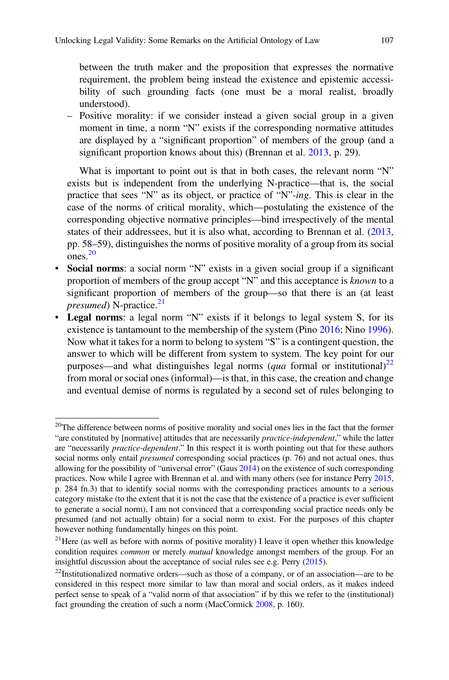between the truth maker and the proposition that expresses the normative requirement, the problem being instead the existence and epistemic accessibility of such grounding facts (one must be a moral realist, broadly understood).

– Positive morality: if we consider instead a given social group in a given moment in time, a norm "N" exists if the corresponding normative attitudes are displayed by a "significant proportion" of members of the group (and a significant proportion knows about this) (Brennan et al. [2013,](#page-24-11) p. 29).

What is important to point out is that in both cases, the relevant norm "N" exists but is independent from the underlying N-practice—that is, the social practice that sees "N" as its object, or practice of "N"-ing. This is clear in the case of the norms of critical morality, which—postulating the existence of the corresponding objective normative principles—bind irrespectively of the mental states of their addressees, but it is also what, according to Brennan et al. [\(2013](#page-24-11), pp. 58–59), distinguishes the norms of positive morality of a group from its social ones $20$ 

- Social norms: a social norm "N" exists in a given social group if a significant proportion of members of the group accept "N" and this acceptance is known to a significant proportion of members of the group—so that there is an (at least presumed) N-practice.<sup>[21](#page-9-1)</sup>
- Legal norms: a legal norm "N" exists if it belongs to legal system S, for its existence is tantamount to the membership of the system (Pino [2016;](#page-25-9) Nino [1996\)](#page-25-1). Now what it takes for a norm to belong to system "S" is a contingent question, the answer to which will be different from system to system. The key point for our purposes—and what distinguishes legal norms (qua formal or institutional)<sup>[22](#page-9-2)</sup> from moral or social ones (informal)—is that, in this case, the creation and change and eventual demise of norms is regulated by a second set of rules belonging to

<span id="page-9-0"></span><sup>&</sup>lt;sup>20</sup>The difference between norms of positive morality and social ones lies in the fact that the former "are constituted by [normative] attitudes that are necessarily *practice-independent*," while the latter are "necessarily *practice-dependent*." In this respect it is worth pointing out that for these authors social norms only entail *presumed* corresponding social practices (p. 76) and not actual ones, thus allowing for the possibility of "universal error" (Gaus [2014](#page-24-16)) on the existence of such corresponding practices. Now while I agree with Brennan et al. and with many others (see for instance Perry [2015](#page-25-16), p. 284 fn.3) that to identify social norms with the corresponding practices amounts to a serious category mistake (to the extent that it is not the case that the existence of a practice is ever sufficient to generate a social norm), I am not convinced that a corresponding social practice needs only be presumed (and not actually obtain) for a social norm to exist. For the purposes of this chapter however nothing fundamentally hinges on this point.

<span id="page-9-1"></span><sup>&</sup>lt;sup>21</sup>Here (as well as before with norms of positive morality) I leave it open whether this knowledge condition requires *common* or merely *mutual* knowledge amongst members of the group. For an insightful discussion about the acceptance of social rules see e.g. Perry [\(2015](#page-25-16)).

<span id="page-9-2"></span> $22$ Institutionalized normative orders—such as those of a company, or of an association—are to be considered in this respect more similar to law than moral and social orders, as it makes indeed perfect sense to speak of a "valid norm of that association" if by this we refer to the (institutional) fact grounding the creation of such a norm (MacCormick [2008](#page-24-9), p. 160).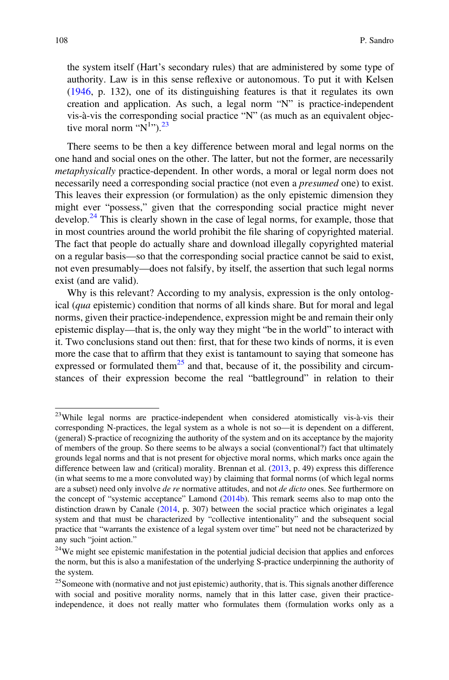the system itself (Hart's secondary rules) that are administered by some type of authority. Law is in this sense reflexive or autonomous. To put it with Kelsen ([1946,](#page-24-3) p. 132), one of its distinguishing features is that it regulates its own creation and application. As such, a legal norm "N" is practice-independent vis-à-vis the corresponding social practice "N" (as much as an equivalent objective moral norm " $N^{1}$ ").<sup>[23](#page-10-0)</sup>

There seems to be then a key difference between moral and legal norms on the one hand and social ones on the other. The latter, but not the former, are necessarily metaphysically practice-dependent. In other words, a moral or legal norm does not necessarily need a corresponding social practice (not even a presumed one) to exist. This leaves their expression (or formulation) as the only epistemic dimension they might ever "possess," given that the corresponding social practice might never develop. $24$  This is clearly shown in the case of legal norms, for example, those that in most countries around the world prohibit the file sharing of copyrighted material. The fact that people do actually share and download illegally copyrighted material on a regular basis—so that the corresponding social practice cannot be said to exist, not even presumably—does not falsify, by itself, the assertion that such legal norms exist (and are valid).

Why is this relevant? According to my analysis, expression is the only ontological (qua epistemic) condition that norms of all kinds share. But for moral and legal norms, given their practice-independence, expression might be and remain their only epistemic display—that is, the only way they might "be in the world" to interact with it. Two conclusions stand out then: first, that for these two kinds of norms, it is even more the case that to affirm that they exist is tantamount to saying that someone has expressed or formulated them<sup>[25](#page-10-2)</sup> and that, because of it, the possibility and circumstances of their expression become the real "battleground" in relation to their

<span id="page-10-0"></span><sup>&</sup>lt;sup>23</sup>While legal norms are practice-independent when considered atomistically vis-à-vis their corresponding N-practices, the legal system as a whole is not so—it is dependent on a different, (general) S-practice of recognizing the authority of the system and on its acceptance by the majority of members of the group. So there seems to be always a social (conventional?) fact that ultimately grounds legal norms and that is not present for objective moral norms, which marks once again the difference between law and (critical) morality. Brennan et al. ([2013,](#page-24-11) p. 49) express this difference (in what seems to me a more convoluted way) by claiming that formal norms (of which legal norms are a subset) need only involve de re normative attitudes, and not de dicto ones. See furthermore on the concept of "systemic acceptance" Lamond [\(2014b](#page-24-18)). This remark seems also to map onto the distinction drawn by Canale ([2014,](#page-24-19) p. 307) between the social practice which originates a legal system and that must be characterized by "collective intentionality" and the subsequent social practice that "warrants the existence of a legal system over time" but need not be characterized by any such "joint action."

<span id="page-10-1"></span><sup>&</sup>lt;sup>24</sup>We might see epistemic manifestation in the potential judicial decision that applies and enforces the norm, but this is also a manifestation of the underlying S-practice underpinning the authority of the system.

<span id="page-10-2"></span><sup>&</sup>lt;sup>25</sup>Someone with (normative and not just epistemic) authority, that is. This signals another difference with social and positive morality norms, namely that in this latter case, given their practiceindependence, it does not really matter who formulates them (formulation works only as a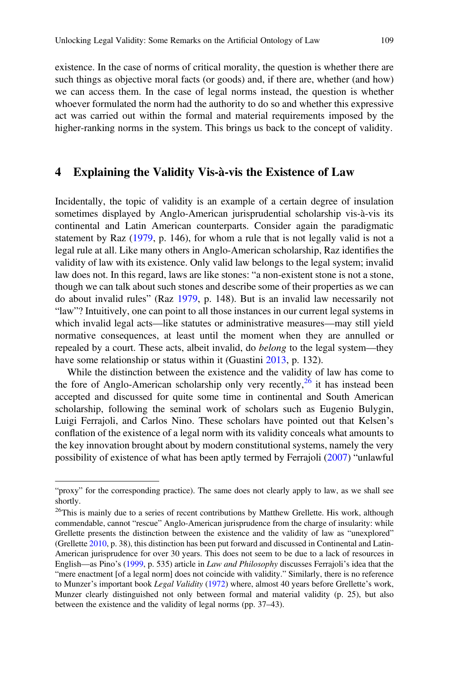existence. In the case of norms of critical morality, the question is whether there are such things as objective moral facts (or goods) and, if there are, whether (and how) we can access them. In the case of legal norms instead, the question is whether whoever formulated the norm had the authority to do so and whether this expressive act was carried out within the formal and material requirements imposed by the higher-ranking norms in the system. This brings us back to the concept of validity.

#### <span id="page-11-0"></span>4 Explaining the Validity Vis-à-vis the Existence of Law

Incidentally, the topic of validity is an example of a certain degree of insulation sometimes displayed by Anglo-American jurisprudential scholarship vis-à-vis its continental and Latin American counterparts. Consider again the paradigmatic statement by Raz ([1979,](#page-25-3) p. 146), for whom a rule that is not legally valid is not a legal rule at all. Like many others in Anglo-American scholarship, Raz identifies the validity of law with its existence. Only valid law belongs to the legal system; invalid law does not. In this regard, laws are like stones: "a non-existent stone is not a stone, though we can talk about such stones and describe some of their properties as we can do about invalid rules" (Raz [1979,](#page-25-3) p. 148). But is an invalid law necessarily not "law"? Intuitively, one can point to all those instances in our current legal systems in which invalid legal acts—like statutes or administrative measures—may still yield normative consequences, at least until the moment when they are annulled or repealed by a court. These acts, albeit invalid, do belong to the legal system—they have some relationship or status within it (Guastini [2013](#page-24-13), p. 132).

While the distinction between the existence and the validity of law has come to the fore of Anglo-American scholarship only very recently,  $^{26}$  $^{26}$  $^{26}$  it has instead been accepted and discussed for quite some time in continental and South American scholarship, following the seminal work of scholars such as Eugenio Bulygin, Luigi Ferrajoli, and Carlos Nino. These scholars have pointed out that Kelsen's conflation of the existence of a legal norm with its validity conceals what amounts to the key innovation brought about by modern constitutional systems, namely the very possibility of existence of what has been aptly termed by Ferrajoli [\(2007](#page-24-2)) "unlawful

<sup>&</sup>quot;proxy" for the corresponding practice). The same does not clearly apply to law, as we shall see shortly.

<span id="page-11-1"></span><sup>&</sup>lt;sup>26</sup>This is mainly due to a series of recent contributions by Matthew Grellette. His work, although commendable, cannot "rescue" Anglo-American jurisprudence from the charge of insularity: while Grellette presents the distinction between the existence and the validity of law as "unexplored" (Grellette [2010](#page-24-20), p. 38), this distinction has been put forward and discussed in Continental and Latin-American jurisprudence for over 30 years. This does not seem to be due to a lack of resources in English—as Pino's ([1999](#page-25-6), p. 535) article in Law and Philosophy discusses Ferrajoli's idea that the "mere enactment [of a legal norm] does not coincide with validity." Similarly, there is no reference to Munzer's important book *Legal Validity* ([1972\)](#page-24-21) where, almost 40 years before Grellette's work, Munzer clearly distinguished not only between formal and material validity (p. 25), but also between the existence and the validity of legal norms (pp. 37–43).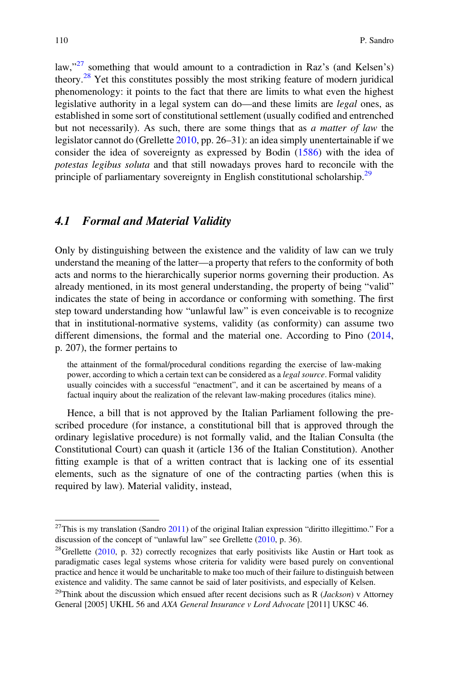law,"<sup>[27](#page-12-1)</sup> something that would amount to a contradiction in Raz's (and Kelsen's) theory.[28](#page-12-2) Yet this constitutes possibly the most striking feature of modern juridical phenomenology: it points to the fact that there are limits to what even the highest legislative authority in a legal system can do—and these limits are legal ones, as established in some sort of constitutional settlement (usually codified and entrenched but not necessarily). As such, there are some things that as a matter of law the legislator cannot do (Grellette [2010](#page-24-20), pp. 26–31): an idea simply unentertainable if we consider the idea of sovereignty as expressed by Bodin ([1586\)](#page-24-22) with the idea of potestas legibus soluta and that still nowadays proves hard to reconcile with the principle of parliamentary sovereignty in English constitutional scholarship.<sup>[29](#page-12-3)</sup>

#### <span id="page-12-0"></span>4.1 Formal and Material Validity

Only by distinguishing between the existence and the validity of law can we truly understand the meaning of the latter—a property that refers to the conformity of both acts and norms to the hierarchically superior norms governing their production. As already mentioned, in its most general understanding, the property of being "valid" indicates the state of being in accordance or conforming with something. The first step toward understanding how "unlawful law" is even conceivable is to recognize that in institutional-normative systems, validity (as conformity) can assume two different dimensions, the formal and the material one. According to Pino [\(2014](#page-25-17), p. 207), the former pertains to

the attainment of the formal/procedural conditions regarding the exercise of law-making power, according to which a certain text can be considered as a legal source. Formal validity usually coincides with a successful "enactment", and it can be ascertained by means of a factual inquiry about the realization of the relevant law-making procedures (italics mine).

Hence, a bill that is not approved by the Italian Parliament following the prescribed procedure (for instance, a constitutional bill that is approved through the ordinary legislative procedure) is not formally valid, and the Italian Consulta (the Constitutional Court) can quash it (article 136 of the Italian Constitution). Another fitting example is that of a written contract that is lacking one of its essential elements, such as the signature of one of the contracting parties (when this is required by law). Material validity, instead,

<span id="page-12-1"></span> $27$ This is my translation (Sandro  $2011$ ) of the original Italian expression "diritto illegittimo." For a discussion of the concept of "unlawful law" see Grellette [\(2010](#page-24-20), p. 36).

<span id="page-12-2"></span><sup>&</sup>lt;sup>28</sup>Grellette ([2010,](#page-24-20) p. 32) correctly recognizes that early positivists like Austin or Hart took as paradigmatic cases legal systems whose criteria for validity were based purely on conventional practice and hence it would be uncharitable to make too much of their failure to distinguish between existence and validity. The same cannot be said of later positivists, and especially of Kelsen.

<span id="page-12-3"></span><sup>&</sup>lt;sup>29</sup>Think about the discussion which ensued after recent decisions such as R (*Jackson*) v Attorney General [2005] UKHL 56 and AXA General Insurance v Lord Advocate [2011] UKSC 46.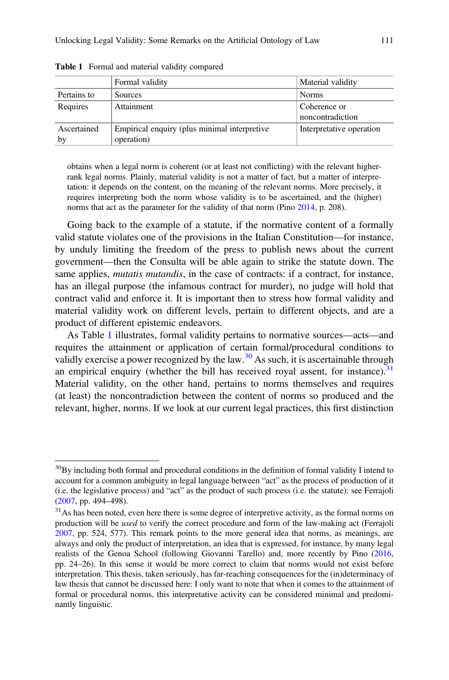|                   | Formal validity                                            | Material validity                |
|-------------------|------------------------------------------------------------|----------------------------------|
| Pertains to       | Sources                                                    | <b>Norms</b>                     |
| Requires          | Attainment                                                 | Coherence or<br>noncontradiction |
| Ascertained<br>by | Empirical enquiry (plus minimal interpretive<br>operation) | Interpretative operation         |

<span id="page-13-0"></span>Table 1 Formal and material validity compared

obtains when a legal norm is coherent (or at least not conflicting) with the relevant higherrank legal norms. Plainly, material validity is not a matter of fact, but a matter of interpretation: it depends on the content, on the meaning of the relevant norms. More precisely, it requires interpreting both the norm whose validity is to be ascertained, and the (higher) norms that act as the parameter for the validity of that norm (Pino [2014](#page-25-17), p. 208).

Going back to the example of a statute, if the normative content of a formally valid statute violates one of the provisions in the Italian Constitution—for instance, by unduly limiting the freedom of the press to publish news about the current government—then the Consulta will be able again to strike the statute down. The same applies, *mutatis mutandis*, in the case of contracts: if a contract, for instance, has an illegal purpose (the infamous contract for murder), no judge will hold that contract valid and enforce it. It is important then to stress how formal validity and material validity work on different levels, pertain to different objects, and are a product of different epistemic endeavors.

As Table [1](#page-13-0) illustrates, formal validity pertains to normative sources—acts—and requires the attainment or application of certain formal/procedural conditions to validly exercise a power recognized by the law.<sup>[30](#page-13-1)</sup> As such, it is ascertainable through an empirical enquiry (whether the bill has received royal assent, for instance).<sup>[31](#page-13-2)</sup> Material validity, on the other hand, pertains to norms themselves and requires (at least) the noncontradiction between the content of norms so produced and the relevant, higher, norms. If we look at our current legal practices, this first distinction

<span id="page-13-1"></span><sup>&</sup>lt;sup>30</sup>By including both formal and procedural conditions in the definition of formal validity I intend to account for a common ambiguity in legal language between "act" as the process of production of it (i.e. the legislative process) and "act" as the product of such process (i.e. the statute): see Ferrajoli ([2007,](#page-24-2) pp. 494–498).

<span id="page-13-2"></span> $31$ As has been noted, even here there is some degree of interpretive activity, as the formal norms on production will be used to verify the correct procedure and form of the law-making act (Ferrajoli [2007,](#page-24-2) pp. 524, 577). This remark points to the more general idea that norms, as meanings, are always and only the product of interpretation, an idea that is expressed, for instance, by many legal realists of the Genoa School (following Giovanni Tarello) and, more recently by Pino [\(2016](#page-25-9), pp. 24–26). In this sense it would be more correct to claim that norms would not exist before interpretation. This thesis, taken seriously, has far-reaching consequences for the (in)determinacy of law thesis that cannot be discussed here: I only want to note that when it comes to the attainment of formal or procedural norms, this interpretative activity can be considered minimal and predominantly linguistic.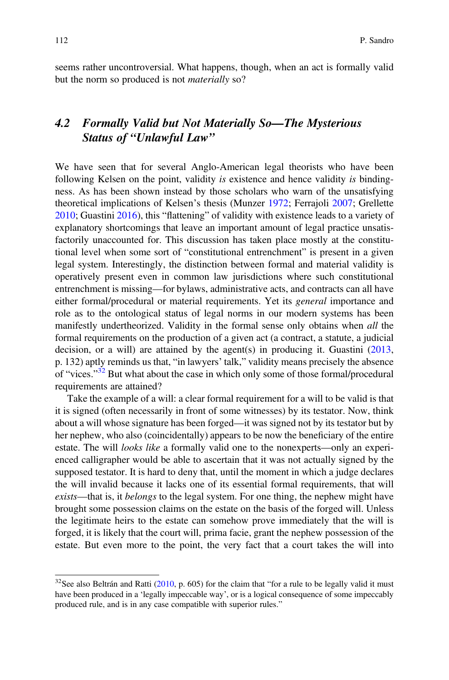seems rather uncontroversial. What happens, though, when an act is formally valid but the norm so produced is not materially so?

# 4.2 Formally Valid but Not Materially So—The Mysterious Status of "Unlawful Law"

We have seen that for several Anglo-American legal theorists who have been following Kelsen on the point, validity is existence and hence validity is bindingness. As has been shown instead by those scholars who warn of the unsatisfying theoretical implications of Kelsen's thesis (Munzer [1972](#page-24-21); Ferrajoli [2007](#page-24-2); Grellette [2010;](#page-24-20) Guastini [2016](#page-24-4)), this "flattening" of validity with existence leads to a variety of explanatory shortcomings that leave an important amount of legal practice unsatisfactorily unaccounted for. This discussion has taken place mostly at the constitutional level when some sort of "constitutional entrenchment" is present in a given legal system. Interestingly, the distinction between formal and material validity is operatively present even in common law jurisdictions where such constitutional entrenchment is missing—for bylaws, administrative acts, and contracts can all have either formal/procedural or material requirements. Yet its general importance and role as to the ontological status of legal norms in our modern systems has been manifestly undertheorized. Validity in the formal sense only obtains when all the formal requirements on the production of a given act (a contract, a statute, a judicial decision, or a will) are attained by the agent(s) in producing it. Guastini [\(2013](#page-24-13), p. 132) aptly reminds us that, "in lawyers' talk," validity means precisely the absence of "vices."<sup>[32](#page-14-0)</sup> But what about the case in which only some of those formal/procedural requirements are attained?

Take the example of a will: a clear formal requirement for a will to be valid is that it is signed (often necessarily in front of some witnesses) by its testator. Now, think about a will whose signature has been forged—it was signed not by its testator but by her nephew, who also (coincidentally) appears to be now the beneficiary of the entire estate. The will *looks like* a formally valid one to the nonexperts—only an experienced calligrapher would be able to ascertain that it was not actually signed by the supposed testator. It is hard to deny that, until the moment in which a judge declares the will invalid because it lacks one of its essential formal requirements, that will exists—that is, it *belongs* to the legal system. For one thing, the nephew might have brought some possession claims on the estate on the basis of the forged will. Unless the legitimate heirs to the estate can somehow prove immediately that the will is forged, it is likely that the court will, prima facie, grant the nephew possession of the estate. But even more to the point, the very fact that a court takes the will into

<span id="page-14-0"></span> $32$ See also Beltrán and Ratti ([2010](#page-24-0), p. 605) for the claim that "for a rule to be legally valid it must have been produced in a 'legally impeccable way', or is a logical consequence of some impeccably produced rule, and is in any case compatible with superior rules."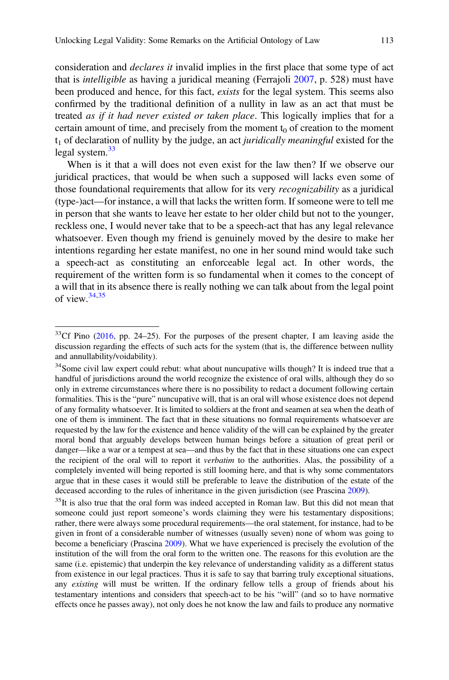consideration and declares it invalid implies in the first place that some type of act that is intelligible as having a juridical meaning (Ferrajoli [2007,](#page-24-2) p. 528) must have been produced and hence, for this fact, *exists* for the legal system. This seems also confirmed by the traditional definition of a nullity in law as an act that must be treated as if it had never existed or taken place. This logically implies that for a certain amount of time, and precisely from the moment  $t_0$  of creation to the moment  $t_1$  of declaration of nullity by the judge, an act *juridically meaningful* existed for the legal system. $33$ 

When is it that a will does not even exist for the law then? If we observe our juridical practices, that would be when such a supposed will lacks even some of those foundational requirements that allow for its very recognizability as a juridical (type-)act—for instance, a will that lacks the written form. If someone were to tell me in person that she wants to leave her estate to her older child but not to the younger, reckless one, I would never take that to be a speech-act that has any legal relevance whatsoever. Even though my friend is genuinely moved by the desire to make her intentions regarding her estate manifest, no one in her sound mind would take such a speech-act as constituting an enforceable legal act. In other words, the requirement of the written form is so fundamental when it comes to the concept of a will that in its absence there is really nothing we can talk about from the legal point of view  $34,35$  $34,35$  $34,35$ 

<span id="page-15-2"></span><sup>35</sup>It is also true that the oral form was indeed accepted in Roman law. But this did not mean that someone could just report someone's words claiming they were his testamentary dispositions; rather, there were always some procedural requirements—the oral statement, for instance, had to be given in front of a considerable number of witnesses (usually seven) none of whom was going to become a beneficiary (Prascina [2009](#page-25-19)). What we have experienced is precisely the evolution of the institution of the will from the oral form to the written one. The reasons for this evolution are the same (i.e. epistemic) that underpin the key relevance of understanding validity as a different status from existence in our legal practices. Thus it is safe to say that barring truly exceptional situations, any *existing* will must be written. If the ordinary fellow tells a group of friends about his testamentary intentions and considers that speech-act to be his "will" (and so to have normative effects once he passes away), not only does he not know the law and fails to produce any normative

<span id="page-15-0"></span><sup>&</sup>lt;sup>33</sup>Cf Pino [\(2016](#page-25-9), pp. 24–25). For the purposes of the present chapter, I am leaving aside the discussion regarding the effects of such acts for the system (that is, the difference between nullity and annullability/voidability).

<span id="page-15-1"></span><sup>&</sup>lt;sup>34</sup>Some civil law expert could rebut: what about nuncupative wills though? It is indeed true that a handful of jurisdictions around the world recognize the existence of oral wills, although they do so only in extreme circumstances where there is no possibility to redact a document following certain formalities. This is the "pure" nuncupative will, that is an oral will whose existence does not depend of any formality whatsoever. It is limited to soldiers at the front and seamen at sea when the death of one of them is imminent. The fact that in these situations no formal requirements whatsoever are requested by the law for the existence and hence validity of the will can be explained by the greater moral bond that arguably develops between human beings before a situation of great peril or danger—like a war or a tempest at sea—and thus by the fact that in these situations one can expect the recipient of the oral will to report it *verbatim* to the authorities. Alas, the possibility of a completely invented will being reported is still looming here, and that is why some commentators argue that in these cases it would still be preferable to leave the distribution of the estate of the deceased according to the rules of inheritance in the given jurisdiction (see Prascina [2009](#page-25-19)).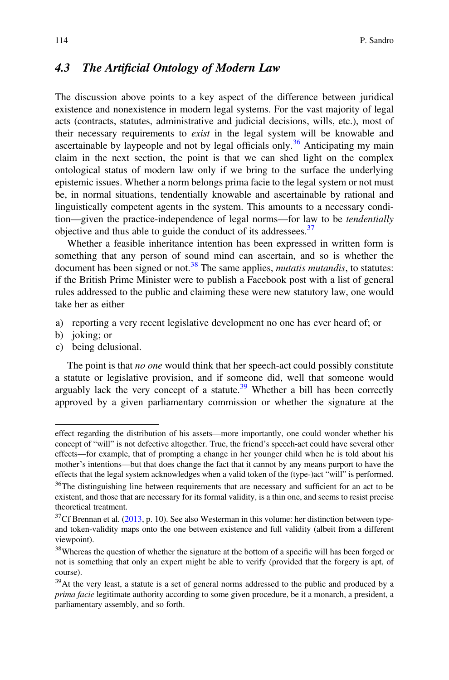## 4.3 The Artificial Ontology of Modern Law

The discussion above points to a key aspect of the difference between juridical existence and nonexistence in modern legal systems. For the vast majority of legal acts (contracts, statutes, administrative and judicial decisions, wills, etc.), most of their necessary requirements to *exist* in the legal system will be knowable and ascertainable by laypeople and not by legal officials only.<sup>[36](#page-16-0)</sup> Anticipating my main claim in the next section, the point is that we can shed light on the complex ontological status of modern law only if we bring to the surface the underlying epistemic issues. Whether a norm belongs prima facie to the legal system or not must be, in normal situations, tendentially knowable and ascertainable by rational and linguistically competent agents in the system. This amounts to a necessary condition—given the practice-independence of legal norms—for law to be tendentially objective and thus able to guide the conduct of its addressees.<sup>[37](#page-16-1)</sup>

Whether a feasible inheritance intention has been expressed in written form is something that any person of sound mind can ascertain, and so is whether the document has been signed or not.<sup>[38](#page-16-2)</sup> The same applies, *mutatis mutandis*, to statutes: if the British Prime Minister were to publish a Facebook post with a list of general rules addressed to the public and claiming these were new statutory law, one would take her as either

- a) reporting a very recent legislative development no one has ever heard of; or
- b) joking; or
- c) being delusional.

The point is that *no one* would think that her speech-act could possibly constitute a statute or legislative provision, and if someone did, well that someone would arguably lack the very concept of a statute.<sup>[39](#page-16-3)</sup> Whether a bill has been correctly approved by a given parliamentary commission or whether the signature at the

effect regarding the distribution of his assets—more importantly, one could wonder whether his concept of "will" is not defective altogether. True, the friend's speech-act could have several other effects—for example, that of prompting a change in her younger child when he is told about his mother's intentions—but that does change the fact that it cannot by any means purport to have the effects that the legal system acknowledges when a valid token of the (type-)act "will" is performed.

<span id="page-16-0"></span><sup>&</sup>lt;sup>36</sup>The distinguishing line between requirements that are necessary and sufficient for an act to be existent, and those that are necessary for its formal validity, is a thin one, and seems to resist precise theoretical treatment.

<span id="page-16-1"></span> $37$ Cf Brennan et al. [\(2013](#page-24-11), p. 10). See also Westerman in this volume: her distinction between typeand token-validity maps onto the one between existence and full validity (albeit from a different viewpoint).

<span id="page-16-2"></span><sup>&</sup>lt;sup>38</sup>Whereas the question of whether the signature at the bottom of a specific will has been forged or not is something that only an expert might be able to verify (provided that the forgery is apt, of course).

<span id="page-16-3"></span><sup>&</sup>lt;sup>39</sup>At the very least, a statute is a set of general norms addressed to the public and produced by a prima facie legitimate authority according to some given procedure, be it a monarch, a president, a parliamentary assembly, and so forth.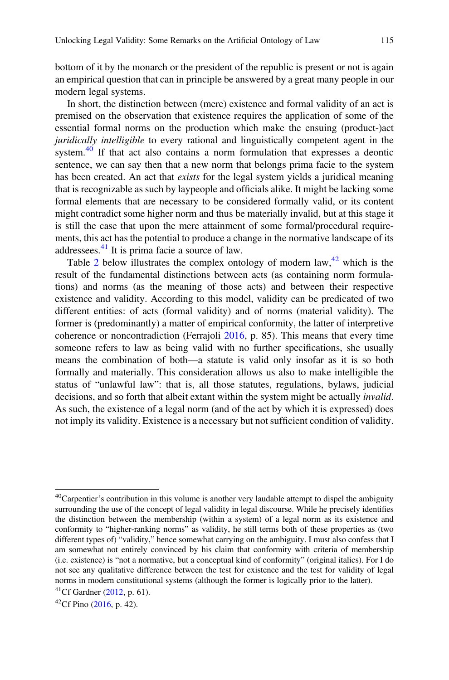bottom of it by the monarch or the president of the republic is present or not is again an empirical question that can in principle be answered by a great many people in our modern legal systems.

In short, the distinction between (mere) existence and formal validity of an act is premised on the observation that existence requires the application of some of the essential formal norms on the production which make the ensuing (product-)act juridically intelligible to every rational and linguistically competent agent in the system.<sup>[40](#page-17-0)</sup> If that act also contains a norm formulation that expresses a deontic sentence, we can say then that a new norm that belongs prima facie to the system has been created. An act that *exists* for the legal system yields a juridical meaning that is recognizable as such by laypeople and officials alike. It might be lacking some formal elements that are necessary to be considered formally valid, or its content might contradict some higher norm and thus be materially invalid, but at this stage it is still the case that upon the mere attainment of some formal/procedural requirements, this act has the potential to produce a change in the normative landscape of its addressees.[41](#page-17-1) It is prima facie a source of law.

Table [2](#page-18-0) below illustrates the complex ontology of modern law,  $42$  which is the result of the fundamental distinctions between acts (as containing norm formulations) and norms (as the meaning of those acts) and between their respective existence and validity. According to this model, validity can be predicated of two different entities: of acts (formal validity) and of norms (material validity). The former is (predominantly) a matter of empirical conformity, the latter of interpretive coherence or noncontradiction (Ferrajoli [2016](#page-24-5), p. 85). This means that every time someone refers to law as being valid with no further specifications, she usually means the combination of both—a statute is valid only insofar as it is so both formally and materially. This consideration allows us also to make intelligible the status of "unlawful law": that is, all those statutes, regulations, bylaws, judicial decisions, and so forth that albeit extant within the system might be actually invalid. As such, the existence of a legal norm (and of the act by which it is expressed) does not imply its validity. Existence is a necessary but not sufficient condition of validity.

<span id="page-17-0"></span><sup>&</sup>lt;sup>40</sup>Carpentier's contribution in this volume is another very laudable attempt to dispel the ambiguity surrounding the use of the concept of legal validity in legal discourse. While he precisely identifies the distinction between the membership (within a system) of a legal norm as its existence and conformity to "higher-ranking norms" as validity, he still terms both of these properties as (two different types of) "validity," hence somewhat carrying on the ambiguity. I must also confess that I am somewhat not entirely convinced by his claim that conformity with criteria of membership (i.e. existence) is "not a normative, but a conceptual kind of conformity" (original italics). For I do not see any qualitative difference between the test for existence and the test for validity of legal norms in modern constitutional systems (although the former is logically prior to the latter).

<span id="page-17-1"></span> $^{41}$ Cf Gardner ([2012,](#page-24-17) p. 61).

<span id="page-17-2"></span> $^{42}$ Cf Pino ([2016,](#page-25-9) p. 42).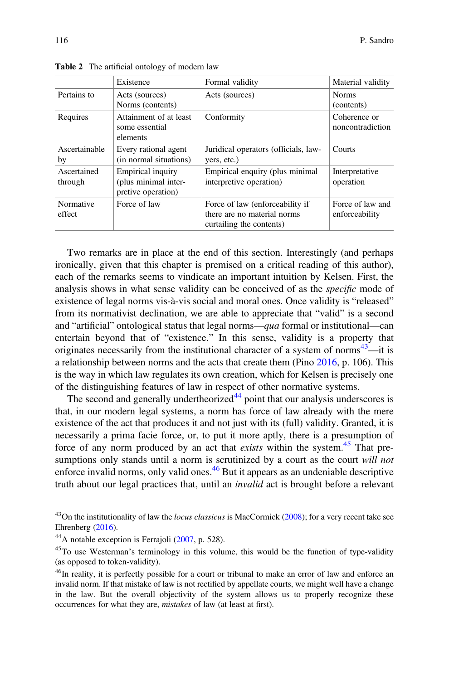|                        | Existence                                                       | Formal validity                                                                            | Material validity                  |
|------------------------|-----------------------------------------------------------------|--------------------------------------------------------------------------------------------|------------------------------------|
| Pertains to            | Acts (sources)<br>Norms (contents)                              | Acts (sources)                                                                             | <b>Norms</b><br>(contents)         |
| Requires               | Attainment of at least<br>some essential<br>elements            | Conformity                                                                                 | Coherence or<br>noncontradiction   |
| Ascertainable<br>by    | Every rational agent<br>(in normal situations)                  | Juridical operators (officials, law-<br>yers, etc.)                                        | Courts                             |
| Ascertained<br>through | Empirical inquiry<br>(plus minimal inter-<br>pretive operation) | Empirical enquiry (plus minimal<br>interpretive operation)                                 | Interpretative<br>operation        |
| Normative<br>effect    | Force of law                                                    | Force of law (enforceability if<br>there are no material norms<br>curtailing the contents) | Force of law and<br>enforceability |

<span id="page-18-0"></span>Table 2 The artificial ontology of modern law

Two remarks are in place at the end of this section. Interestingly (and perhaps ironically, given that this chapter is premised on a critical reading of this author), each of the remarks seems to vindicate an important intuition by Kelsen. First, the analysis shows in what sense validity can be conceived of as the *specific* mode of existence of legal norms vis-à-vis social and moral ones. Once validity is "released" from its normativist declination, we are able to appreciate that "valid" is a second and "artificial" ontological status that legal norms—qua formal or institutional—can entertain beyond that of "existence." In this sense, validity is a property that originates necessarily from the institutional character of a system of norms<sup>[43](#page-18-1)</sup>—it is a relationship between norms and the acts that create them (Pino [2016](#page-25-9), p. 106). This is the way in which law regulates its own creation, which for Kelsen is precisely one of the distinguishing features of law in respect of other normative systems.

The second and generally undertheorized $44$  point that our analysis underscores is that, in our modern legal systems, a norm has force of law already with the mere existence of the act that produces it and not just with its (full) validity. Granted, it is necessarily a prima facie force, or, to put it more aptly, there is a presumption of force of any norm produced by an act that *exists* within the system.<sup>45</sup> That presumptions only stands until a norm is scrutinized by a court as the court will not enforce invalid norms, only valid ones. $46$  But it appears as an undeniable descriptive truth about our legal practices that, until an invalid act is brought before a relevant

<span id="page-18-1"></span> $43$ On the institutionality of law the locus classicus is MacCormick ([2008\)](#page-24-9); for a very recent take see Ehrenberg ([2016\)](#page-24-23).

<span id="page-18-2"></span> $44$ A notable exception is Ferrajoli ([2007,](#page-24-2) p. 528).

<span id="page-18-3"></span><sup>&</sup>lt;sup>45</sup>To use Westerman's terminology in this volume, this would be the function of type-validity (as opposed to token-validity).

<span id="page-18-4"></span><sup>&</sup>lt;sup>46</sup>In reality, it is perfectly possible for a court or tribunal to make an error of law and enforce an invalid norm. If that mistake of law is not rectified by appellate courts, we might well have a change in the law. But the overall objectivity of the system allows us to properly recognize these occurrences for what they are, mistakes of law (at least at first).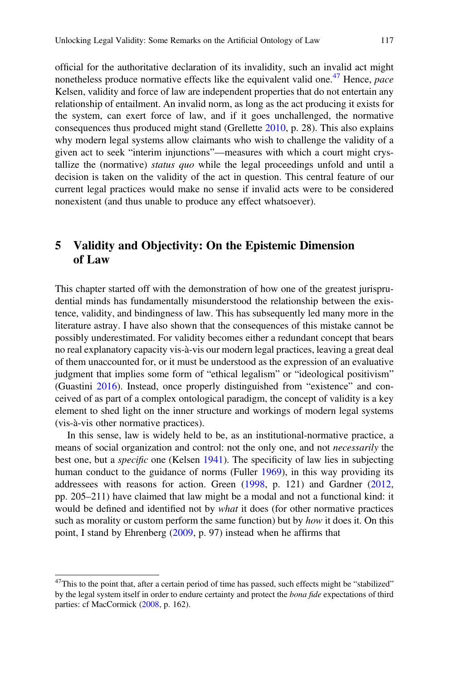official for the authoritative declaration of its invalidity, such an invalid act might nonetheless produce normative effects like the equivalent valid one.<sup>[47](#page-19-0)</sup> Hence, *pace* Kelsen, validity and force of law are independent properties that do not entertain any relationship of entailment. An invalid norm, as long as the act producing it exists for the system, can exert force of law, and if it goes unchallenged, the normative consequences thus produced might stand (Grellette [2010,](#page-24-20) p. 28). This also explains why modern legal systems allow claimants who wish to challenge the validity of a given act to seek "interim injunctions"—measures with which a court might crystallize the (normative) status quo while the legal proceedings unfold and until a decision is taken on the validity of the act in question. This central feature of our current legal practices would make no sense if invalid acts were to be considered nonexistent (and thus unable to produce any effect whatsoever).

# 5 Validity and Objectivity: On the Epistemic Dimension of Law

This chapter started off with the demonstration of how one of the greatest jurisprudential minds has fundamentally misunderstood the relationship between the existence, validity, and bindingness of law. This has subsequently led many more in the literature astray. I have also shown that the consequences of this mistake cannot be possibly underestimated. For validity becomes either a redundant concept that bears no real explanatory capacity vis-à-vis our modern legal practices, leaving a great deal of them unaccounted for, or it must be understood as the expression of an evaluative judgment that implies some form of "ethical legalism" or "ideological positivism" (Guastini [2016\)](#page-24-4). Instead, once properly distinguished from "existence" and conceived of as part of a complex ontological paradigm, the concept of validity is a key element to shed light on the inner structure and workings of modern legal systems (vis-à-vis other normative practices).

In this sense, law is widely held to be, as an institutional-normative practice, a means of social organization and control: not the only one, and not necessarily the best one, but a specific one (Kelsen [1941\)](#page-24-24). The specificity of law lies in subjecting human conduct to the guidance of norms (Fuller [1969\)](#page-24-25), in this way providing its addressees with reasons for action. Green [\(1998](#page-24-26), p. 121) and Gardner [\(2012](#page-24-17), pp. 205–211) have claimed that law might be a modal and not a functional kind: it would be defined and identified not by *what* it does (for other normative practices such as morality or custom perform the same function) but by *how* it does it. On this point, I stand by Ehrenberg [\(2009](#page-24-27), p. 97) instead when he affirms that

<span id="page-19-0"></span><sup>&</sup>lt;sup>47</sup>This to the point that, after a certain period of time has passed, such effects might be "stabilized" by the legal system itself in order to endure certainty and protect the bona fide expectations of third parties: cf MacCormick ([2008,](#page-24-9) p. 162).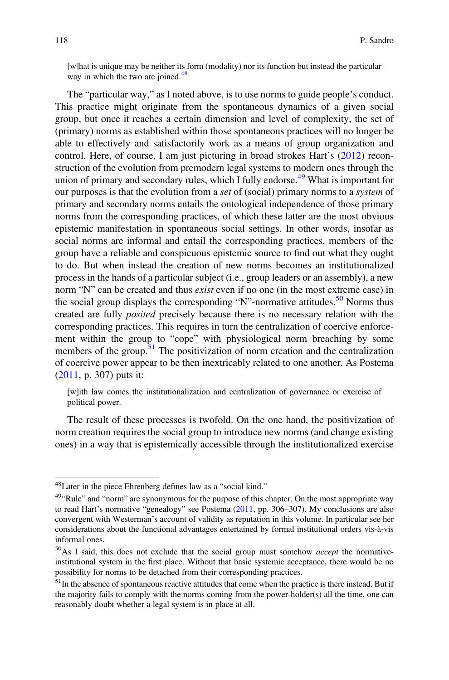[w]hat is unique may be neither its form (modality) nor its function but instead the particular way in which the two are joined.<sup>[48](#page-20-0)</sup>

The "particular way," as I noted above, is to use norms to guide people's conduct. This practice might originate from the spontaneous dynamics of a given social group, but once it reaches a certain dimension and level of complexity, the set of (primary) norms as established within those spontaneous practices will no longer be able to effectively and satisfactorily work as a means of group organization and control. Here, of course, I am just picturing in broad strokes Hart's ([2012\)](#page-24-28) reconstruction of the evolution from premodern legal systems to modern ones through the union of primary and secondary rules, which I fully endorse.<sup>[49](#page-20-1)</sup> What is important for our purposes is that the evolution from a set of (social) primary norms to a system of primary and secondary norms entails the ontological independence of those primary norms from the corresponding practices, of which these latter are the most obvious epistemic manifestation in spontaneous social settings. In other words, insofar as social norms are informal and entail the corresponding practices, members of the group have a reliable and conspicuous epistemic source to find out what they ought to do. But when instead the creation of new norms becomes an institutionalized process in the hands of a particular subject (i.e., group leaders or an assembly), a new norm "N" can be created and thus *exist* even if no one (in the most extreme case) in the social group displays the corresponding "N"-normative attitudes.<sup>[50](#page-20-2)</sup> Norms thus created are fully posited precisely because there is no necessary relation with the corresponding practices. This requires in turn the centralization of coercive enforcement within the group to "cope" with physiological norm breaching by some members of the group.<sup>[51](#page-20-3)</sup> The positivization of norm creation and the centralization of coercive power appear to be then inextricably related to one another. As Postema [\(2011](#page-25-20), p. 307) puts it:

[w]ith law comes the institutionalization and centralization of governance or exercise of political power.

The result of these processes is twofold. On the one hand, the positivization of norm creation requires the social group to introduce new norms (and change existing ones) in a way that is epistemically accessible through the institutionalized exercise

<span id="page-20-0"></span><sup>48</sup>Later in the piece Ehrenberg defines law as a "social kind."

<span id="page-20-1"></span><sup>&</sup>lt;sup>49</sup>"Rule" and "norm" are synonymous for the purpose of this chapter. On the most appropriate way to read Hart's normative "genealogy" see Postema [\(2011](#page-25-20), pp. 306–307). My conclusions are also convergent with Westerman's account of validity as reputation in this volume. In particular see her considerations about the functional advantages entertained by formal institutional orders vis-à-vis informal ones.

<span id="page-20-2"></span> $50$ As I said, this does not exclude that the social group must somehow *accept* the normativeinstitutional system in the first place. Without that basic systemic acceptance, there would be no possibility for norms to be detached from their corresponding practices.

<span id="page-20-3"></span><sup>&</sup>lt;sup>51</sup>In the absence of spontaneous reactive attitudes that come when the practice is there instead. But if the majority fails to comply with the norms coming from the power-holder(s) all the time, one can reasonably doubt whether a legal system is in place at all.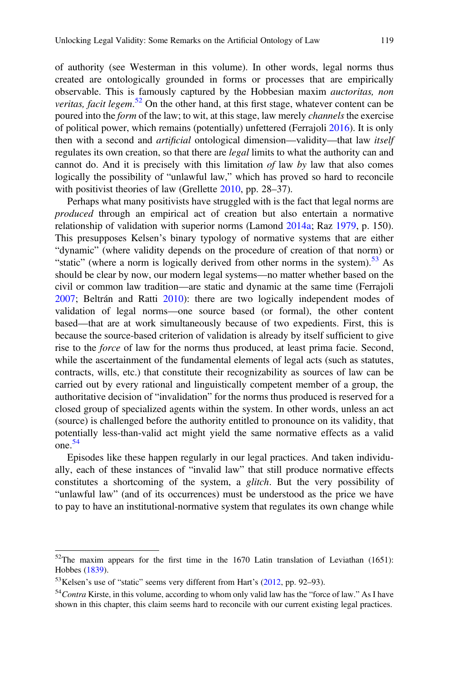of authority (see Westerman in this volume). In other words, legal norms thus created are ontologically grounded in forms or processes that are empirically observable. This is famously captured by the Hobbesian maxim auctoritas, non veritas, facit legem.<sup>[52](#page-21-0)</sup> On the other hand, at this first stage, whatever content can be poured into the form of the law; to wit, at this stage, law merely channels the exercise of political power, which remains (potentially) unfettered (Ferrajoli [2016](#page-24-5)). It is only then with a second and *artificial* ontological dimension—validity—that law *itself* regulates its own creation, so that there are legal limits to what the authority can and cannot do. And it is precisely with this limitation of law by law that also comes logically the possibility of "unlawful law," which has proved so hard to reconcile with positivist theories of law (Grellette [2010,](#page-24-20) pp. 28–37).

Perhaps what many positivists have struggled with is the fact that legal norms are produced through an empirical act of creation but also entertain a normative relationship of validation with superior norms (Lamond [2014a;](#page-24-1) Raz [1979,](#page-25-3) p. 150). This presupposes Kelsen's binary typology of normative systems that are either "dynamic" (where validity depends on the procedure of creation of that norm) or "static" (where a norm is logically derived from other norms in the system).<sup>[53](#page-21-1)</sup> As should be clear by now, our modern legal systems—no matter whether based on the civil or common law tradition—are static and dynamic at the same time (Ferrajoli [2007;](#page-24-2) Beltrán and Ratti [2010\)](#page-24-0): there are two logically independent modes of validation of legal norms—one source based (or formal), the other content based—that are at work simultaneously because of two expedients. First, this is because the source-based criterion of validation is already by itself sufficient to give rise to the force of law for the norms thus produced, at least prima facie. Second, while the ascertainment of the fundamental elements of legal acts (such as statutes, contracts, wills, etc.) that constitute their recognizability as sources of law can be carried out by every rational and linguistically competent member of a group, the authoritative decision of "invalidation" for the norms thus produced is reserved for a closed group of specialized agents within the system. In other words, unless an act (source) is challenged before the authority entitled to pronounce on its validity, that potentially less-than-valid act might yield the same normative effects as a valid one. $54$ 

Episodes like these happen regularly in our legal practices. And taken individually, each of these instances of "invalid law" that still produce normative effects constitutes a shortcoming of the system, a glitch. But the very possibility of "unlawful law" (and of its occurrences) must be understood as the price we have to pay to have an institutional-normative system that regulates its own change while

<span id="page-21-0"></span> $52$ The maxim appears for the first time in the 1670 Latin translation of Leviathan (1651): Hobbes ([1839\)](#page-24-29).

<span id="page-21-1"></span> $53$ Kelsen's use of "static" seems very different from Hart's  $(2012, pp. 92-93)$  $(2012, pp. 92-93)$ .

<span id="page-21-2"></span> $54$ Contra Kirste, in this volume, according to whom only valid law has the "force of law." As I have shown in this chapter, this claim seems hard to reconcile with our current existing legal practices.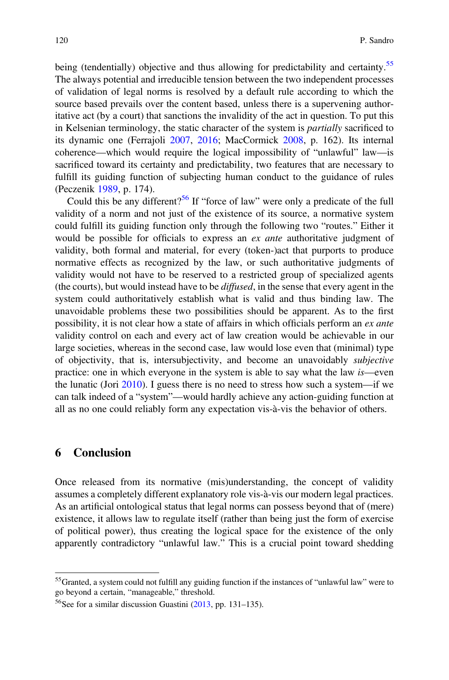being (tendentially) objective and thus allowing for predictability and certainty.<sup>[55](#page-22-0)</sup> The always potential and irreducible tension between the two independent processes of validation of legal norms is resolved by a default rule according to which the source based prevails over the content based, unless there is a supervening authoritative act (by a court) that sanctions the invalidity of the act in question. To put this in Kelsenian terminology, the static character of the system is partially sacrificed to its dynamic one (Ferrajoli [2007](#page-24-2), [2016](#page-24-5); MacCormick [2008](#page-24-9), p. 162). Its internal coherence—which would require the logical impossibility of "unlawful" law—is sacrificed toward its certainty and predictability, two features that are necessary to fulfill its guiding function of subjecting human conduct to the guidance of rules (Peczenik [1989](#page-25-2), p. 174).

Could this be any different?<sup>[56](#page-22-1)</sup> If "force of law" were only a predicate of the full validity of a norm and not just of the existence of its source, a normative system could fulfill its guiding function only through the following two "routes." Either it would be possible for officials to express an ex ante authoritative judgment of validity, both formal and material, for every (token-)act that purports to produce normative effects as recognized by the law, or such authoritative judgments of validity would not have to be reserved to a restricted group of specialized agents (the courts), but would instead have to be diffused, in the sense that every agent in the system could authoritatively establish what is valid and thus binding law. The unavoidable problems these two possibilities should be apparent. As to the first possibility, it is not clear how a state of affairs in which officials perform an ex ante validity control on each and every act of law creation would be achievable in our large societies, whereas in the second case, law would lose even that (minimal) type of objectivity, that is, intersubjectivity, and become an unavoidably subjective practice: one in which everyone in the system is able to say what the law is—even the lunatic (Jori [2010](#page-24-30)). I guess there is no need to stress how such a system—if we can talk indeed of a "system"—would hardly achieve any action-guiding function at all as no one could reliably form any expectation vis-à-vis the behavior of others.

#### 6 Conclusion

Once released from its normative (mis)understanding, the concept of validity assumes a completely different explanatory role vis-à-vis our modern legal practices. As an artificial ontological status that legal norms can possess beyond that of (mere) existence, it allows law to regulate itself (rather than being just the form of exercise of political power), thus creating the logical space for the existence of the only apparently contradictory "unlawful law." This is a crucial point toward shedding

<span id="page-22-0"></span><sup>&</sup>lt;sup>55</sup>Granted, a system could not fulfill any guiding function if the instances of "unlawful law" were to go beyond a certain, "manageable," threshold.

<span id="page-22-1"></span> $56$ See for a similar discussion Guastini [\(2013](#page-24-13), pp. 131–135).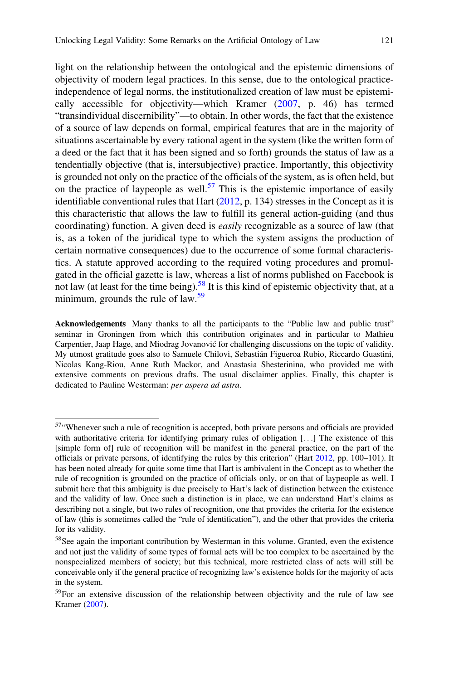light on the relationship between the ontological and the epistemic dimensions of objectivity of modern legal practices. In this sense, due to the ontological practiceindependence of legal norms, the institutionalized creation of law must be epistemically accessible for objectivity—which Kramer ([2007,](#page-24-31) p. 46) has termed "transindividual discernibility"—to obtain. In other words, the fact that the existence of a source of law depends on formal, empirical features that are in the majority of situations ascertainable by every rational agent in the system (like the written form of a deed or the fact that it has been signed and so forth) grounds the status of law as a tendentially objective (that is, intersubjective) practice. Importantly, this objectivity is grounded not only on the practice of the officials of the system, as is often held, but on the practice of laypeople as well.<sup>[57](#page-23-0)</sup> This is the epistemic importance of easily identifiable conventional rules that Hart  $(2012, p. 134)$  $(2012, p. 134)$  $(2012, p. 134)$  stresses in the Concept as it is this characteristic that allows the law to fulfill its general action-guiding (and thus coordinating) function. A given deed is easily recognizable as a source of law (that is, as a token of the juridical type to which the system assigns the production of certain normative consequences) due to the occurrence of some formal characteristics. A statute approved according to the required voting procedures and promulgated in the official gazette is law, whereas a list of norms published on Facebook is not law (at least for the time being).<sup>[58](#page-23-1)</sup> It is this kind of epistemic objectivity that, at a minimum, grounds the rule of  $\text{law}$ .<sup>[59](#page-23-2)</sup>

Acknowledgements Many thanks to all the participants to the "Public law and public trust" seminar in Groningen from which this contribution originates and in particular to Mathieu Carpentier, Jaap Hage, and Miodrag Jovanović for challenging discussions on the topic of validity. My utmost gratitude goes also to Samuele Chilovi, Sebastián Figueroa Rubio, Riccardo Guastini, Nicolas Kang-Riou, Anne Ruth Mackor, and Anastasia Shesterinina, who provided me with extensive comments on previous drafts. The usual disclaimer applies. Finally, this chapter is dedicated to Pauline Westerman: per aspera ad astra.

<span id="page-23-0"></span><sup>57&</sup>quot;Whenever such a rule of recognition is accepted, both private persons and officials are provided with authoritative criteria for identifying primary rules of obligation [...] The existence of this [simple form of] rule of recognition will be manifest in the general practice, on the part of the officials or private persons, of identifying the rules by this criterion" (Hart [2012,](#page-24-28) pp. 100–101). It has been noted already for quite some time that Hart is ambivalent in the Concept as to whether the rule of recognition is grounded on the practice of officials only, or on that of laypeople as well. I submit here that this ambiguity is due precisely to Hart's lack of distinction between the existence and the validity of law. Once such a distinction is in place, we can understand Hart's claims as describing not a single, but two rules of recognition, one that provides the criteria for the existence of law (this is sometimes called the "rule of identification"), and the other that provides the criteria for its validity.

<span id="page-23-1"></span><sup>&</sup>lt;sup>58</sup>See again the important contribution by Westerman in this volume. Granted, even the existence and not just the validity of some types of formal acts will be too complex to be ascertained by the nonspecialized members of society; but this technical, more restricted class of acts will still be conceivable only if the general practice of recognizing law's existence holds for the majority of acts in the system.

<span id="page-23-2"></span><sup>&</sup>lt;sup>59</sup>For an extensive discussion of the relationship between objectivity and the rule of law see Kramer [\(2007](#page-24-31)).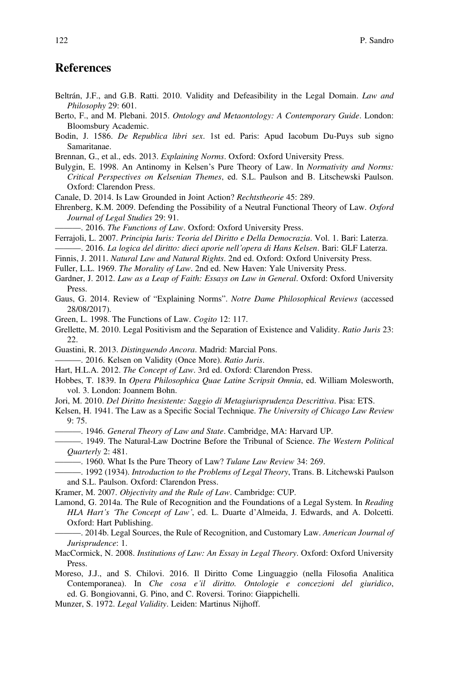#### **References**

- <span id="page-24-0"></span>Beltrán, J.F., and G.B. Ratti. 2010. Validity and Defeasibility in the Legal Domain. Law and Philosophy 29: 601.
- <span id="page-24-12"></span>Berto, F., and M. Plebani. 2015. Ontology and Metaontology: A Contemporary Guide. London: Bloomsbury Academic.
- <span id="page-24-22"></span>Bodin, J. 1586. De Republica libri sex. 1st ed. Paris: Apud Iacobum Du-Puys sub signo Samaritanae.
- <span id="page-24-11"></span>Brennan, G., et al., eds. 2013. Explaining Norms. Oxford: Oxford University Press.
- <span id="page-24-7"></span>Bulygin, E. 1998. An Antinomy in Kelsen's Pure Theory of Law. In *Normativity and Norms:* Critical Perspectives on Kelsenian Themes, ed. S.L. Paulson and B. Litschewski Paulson. Oxford: Clarendon Press.
- <span id="page-24-19"></span>Canale, D. 2014. Is Law Grounded in Joint Action? Rechtstheorie 45: 289.
- <span id="page-24-27"></span>Ehrenberg, K.M. 2009. Defending the Possibility of a Neutral Functional Theory of Law. Oxford Journal of Legal Studies 29: 91.

- 2016. The Functions of Law. Oxford: Oxford University Press.

<span id="page-24-23"></span><span id="page-24-5"></span><span id="page-24-2"></span>Ferrajoli, L. 2007. Principia Iuris: Teoria del Diritto e Della Democrazia. Vol. 1. Bari: Laterza.

- ———. 2016. La logica del diritto: dieci aporie nell'opera di Hans Kelsen. Bari: GLF Laterza.
- <span id="page-24-8"></span>Finnis, J. 2011. Natural Law and Natural Rights. 2nd ed. Oxford: Oxford University Press.
- <span id="page-24-25"></span><span id="page-24-17"></span>Fuller, L.L. 1969. The Morality of Law. 2nd ed. New Haven: Yale University Press.

Gardner, J. 2012. Law as a Leap of Faith: Essays on Law in General. Oxford: Oxford University Press.

- <span id="page-24-16"></span>Gaus, G. 2014. Review of "Explaining Norms". Notre Dame Philosophical Reviews (accessed 28/08/2017).
- <span id="page-24-26"></span>Green, L. 1998. The Functions of Law. Cogito 12: 117.
- <span id="page-24-20"></span>Grellette, M. 2010. Legal Positivism and the Separation of Existence and Validity. Ratio Juris 23: 22.
- <span id="page-24-13"></span><span id="page-24-4"></span>Guastini, R. 2013. Distinguendo Ancora. Madrid: Marcial Pons.

-. 2016. Kelsen on Validity (Once More). Ratio Juris.

<span id="page-24-28"></span>Hart, H.L.A. 2012. The Concept of Law. 3rd ed. Oxford: Clarendon Press.

<span id="page-24-29"></span>Hobbes, T. 1839. In Opera Philosophica Quae Latine Scripsit Omnia, ed. William Molesworth, vol. 3. London: Joannem Bohn.

- <span id="page-24-30"></span><span id="page-24-24"></span>Jori, M. 2010. Del Diritto Inesistente: Saggio di Metagiurisprudenza Descrittiva. Pisa: ETS.
- Kelsen, H. 1941. The Law as a Specific Social Technique. The University of Chicago Law Review 9: 75.
- <span id="page-24-3"></span>- 1946. General Theory of Law and State. Cambridge, MA: Harvard UP.
- <span id="page-24-14"></span>**———.** 1949. The Natural-Law Doctrine Before the Tribunal of Science. The Western Political Quarterly 2: 481.
- <span id="page-24-6"></span>- 1960. What Is the Pure Theory of Law? Tulane Law Review 34: 269.
- <span id="page-24-10"></span>-. 1992 (1934). Introduction to the Problems of Legal Theory, Trans. B. Litchewski Paulson and S.L. Paulson. Oxford: Clarendon Press.
- <span id="page-24-31"></span>Kramer, M. 2007. Objectivity and the Rule of Law. Cambridge: CUP.
- <span id="page-24-1"></span>Lamond, G. 2014a. The Rule of Recognition and the Foundations of a Legal System. In Reading HLA Hart's 'The Concept of Law', ed. L. Duarte d'Almeida, J. Edwards, and A. Dolcetti. Oxford: Hart Publishing.
- <span id="page-24-18"></span>-. 2014b. Legal Sources, the Rule of Recognition, and Customary Law. American Journal of Jurisprudence: 1.
- <span id="page-24-9"></span>MacCormick, N. 2008. Institutions of Law: An Essay in Legal Theory. Oxford: Oxford University Press.
- <span id="page-24-15"></span>Moreso, J.J., and S. Chilovi. 2016. Il Diritto Come Linguaggio (nella Filosofia Analitica Contemporanea). In Che cosa e'il diritto. Ontologie e concezioni del giuridico, ed. G. Bongiovanni, G. Pino, and C. Roversi. Torino: Giappichelli.
- <span id="page-24-21"></span>Munzer, S. 1972. Legal Validity. Leiden: Martinus Nijhoff.